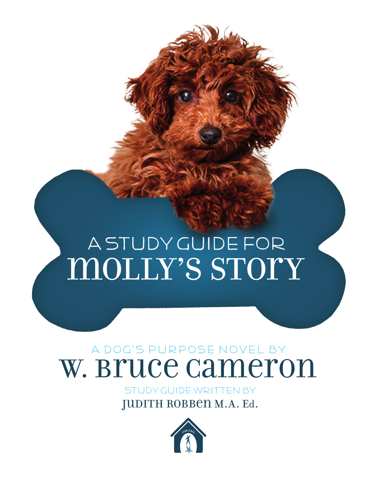molly's Story A Study Guide foR

# A Dog's purpose novel by W. Bruce Cameron

Study Guide Written by JUDITH ROBBEN M.A. Ed.

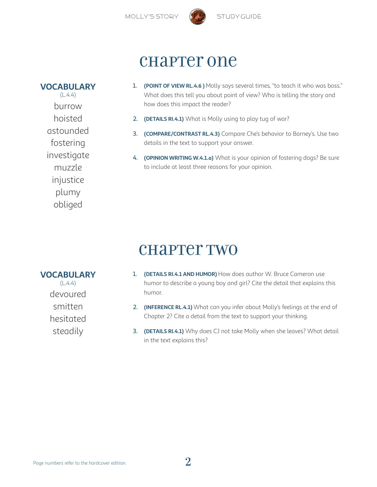

### chapter one

**VOCABULARY**  $(L.4.4)$ burrow hoisted astounded fostering investigate muzzle injustice plumy obliged

- 1. **(POINT OF VIEW RL.4.6 )** Molly says several times, "to teach it who was boss." What does this tell you about point of view? Who is telling the story and how does this impact the reader?
- 2. **(DETAILS RI.4.1)** What is Molly using to play tug of war?
- 3. **(COMPARE/CONTRAST RL.4.3)** Compare Che's behavior to Barney's. Use two details in the text to support your answer.
- 4. **(OPINION WRITING W.4.1.a)** What is your opinion of fostering dogs? Be sure to include at least three reasons for your opinion.

### chapter two

#### **VOCABULARY**

 $(L.4.4)$ devoured smitten hesitated steadily

- 1. **(DETAILS RI.4.1 AND HUMOR)** How does author W. Bruce Cameron use humor to describe a young boy and girl? Cite the detail that explains this humor.
- 2. **(INFERENCE RL.4.1)** What can you infer about Molly's feelings at the end of Chapter 2? Cite a detail from the text to support your thinking.
- 3. **(DETAILS RI.4.1)** Why does CJ not take Molly when she leaves? What detail in the text explains this?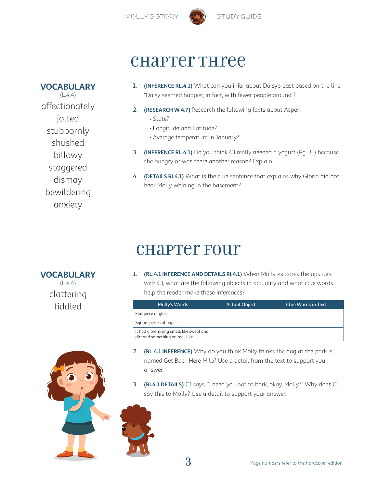

## chapter Three

### **VOCABULARY**

 $(L.4.4)$ affectionately jolted stubbornly shushed billowy staggered dismay bewildering anxiety

- 1. **(INFERENCE RL.4.1)** What can you infer about Daisy's past based on the line "Daisy seemed happier, in fact, with fewer people around"?
- 2. **(RESEARCH W.4.7)** Research the following facts about Aspen.
	- State?
	- Longitude and Latitude?
	- Average temperature in January?
- 3. **(INFERENCE RL.4.1)** Do you think CJ really needed a yogurt (Pg. 31) because she hungry or was there another reason? Explain.
- 4. **(DETAILS RI.4.1)** What is the clue sentence that explains why Gloria did not hear Molly whining in the basement?

# chapter Four

### **VOCABULARY**

 $(L.4.4)$ clattering 1. **(RL.4.1 INFERENCE AND DETAILS RI.4.1)** When Molly explores the upstairs with CJ, what are the following objects in actuality and what clue words help the reader make these inferences?

| fiddled | Molly's Words                                                               | <b>Actual Object</b> | <b>Clue Words in Text</b> |
|---------|-----------------------------------------------------------------------------|----------------------|---------------------------|
|         | Flat piece of glass                                                         |                      |                           |
|         | Square pieces of paper                                                      |                      |                           |
|         | It had a promising smell, like sweat and<br>dirt and something animal-like. |                      |                           |

- 2. **(RL.4.1 INFERENCE)** Why do you think Molly thinks the dog at the park is named Get Back Here Milo? Use a detail from the text to support your answer.
- 3. **(RI.4.1 DETAILS)** CJ says, "I need you not to bark, okay, Molly?" Why does CJ say this to Molly? Use a detail to support your answer.

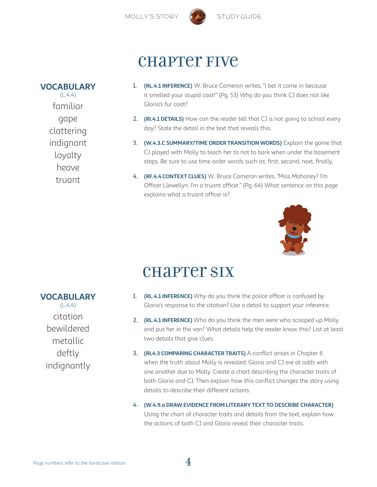

### chapter five

- 1. **(RL.4.1 INFERENCE)** W. Bruce Cameron writes, "I bet it came in because it smelled your stupid coat!" (Pg. 53) Why do you think CJ does not like Gloria's fur coat?
- 2. **(RI.4.1 DETAILS)** How can the reader tell that CJ is not going to school every day? State the detail in the text that reveals this.
- 3. **(W.4.3.C SUMMARY/TIME ORDER TRANSITION WORDS)** Explain the game that CJ played with Molly to teach her to not to bark when under the basement steps. Be sure to use time order words such as: first, second, next, finally.
- 4. **(RF.4.4 CONTEXT CLUES)** W. Bruce Cameron writes, "Miss Mahoney? I'm Officer Llewellyn. I'm a truant officer." (Pg. 64) What sentence on this page explains what a truant officer is?



### **CHAPTET SIX**

- 1. **(RL.4.1 INFERENCE)** Why do you think the police officer is confused by Gloria's response to the citation? Use a detail to support your inference.
- 2. **(RL.4.1 INFERENCE)** Who do you think the men were who scooped up Molly and put her in the van? What details help the reader know this? List at least two details that give clues.
- 3. **(RL4.3 COMPARING CHARACTER TRAITS)** A conflict arises in Chapter 6 when the truth about Molly is revealed. Gloria and CJ are at odds with one another due to Molly. Create a chart describing the character traits of both Gloria and CJ. Then explain how this conflict changes the story using details to describe their different actions.
- 4. **(W.4.9.a DRAW EVIDENCE FROM LITERARY TEXT TO DESCRIBE CHARACTER)**  Using the chart of character traits and details from the text, explain how the actions of both CJ and Gloria reveal their character traits.

### **VOCABULARY**

**VOCABULARY**  $(L.4.4)$ 

familiar

gape clattering indignant loyalty heave

truant

 $(L.4.4)$ citation bewildered metallic deftly indignantly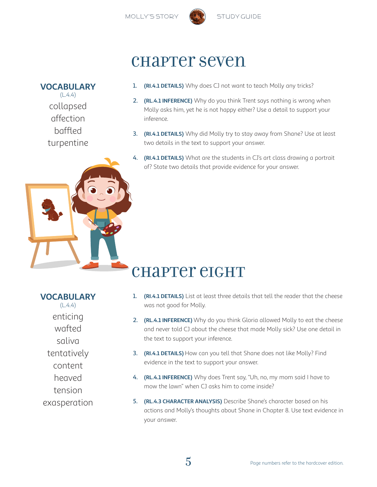

## chapter seven

#### 1. **(RI.4.1 DETAILS)** Why does CJ not want to teach Molly any tricks? **VOCABULARY**

- 2. **(RL.4.1 INFERENCE)** Why do you think Trent says nothing is wrong when Molly asks him, yet he is not happy either? Use a detail to support your inference.
- 3. **(RI.4.1 DETAILS)** Why did Molly try to stay away from Shane? Use at least two details in the text to support your answer.
- 4. **(RI.4.1 DETAILS)** What are the students in CJ's art class drawing a portrait of? State two details that provide evidence for your answer.

# chapter eight

### **VOCABULARY**

 $(L.4.4)$ 

collapsed affection baffled

turpentine

 $(L.4.4)$ enticing wafted saliva tentatively content heaved tension exasperation

- 1. **(RI.4.1 DETAILS)** List at least three details that tell the reader that the cheese was not good for Molly.
- 2. **(RL.4.1 INFERENCE)** Why do you think Gloria allowed Molly to eat the cheese and never told CJ about the cheese that made Molly sick? Use one detail in the text to support your inference.
- 3. **(RI.4.1 DETAILS)** How can you tell that Shane does not like Molly? Find evidence in the text to support your answer.
- 4. **(RL.4.1 INFERENCE)** Why does Trent say, "Uh, no, my mom said I have to mow the lawn" when CJ asks him to come inside?
- 5. **(RL.4.3 CHARACTER ANALYSIS)** Describe Shane's character based on his actions and Molly's thoughts about Shane in Chapter 8. Use text evidence in your answer.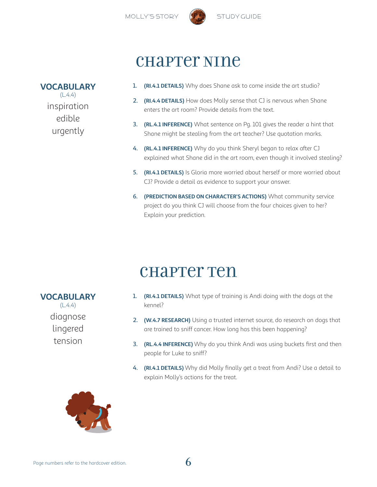

#### **VOCABULARY**

 $(L.4.4)$ inspiration edible urgently

### chapter Nine

- 1. **(RI.4.1 DETAILS)** Why does Shane ask to come inside the art studio?
- 2. **(RI.4.4 DETAILS)** How does Molly sense that CJ is nervous when Shane enters the art room? Provide details from the text.
- 3. **(RL.4.1 INFERENCE)** What sentence on Pg. 101 gives the reader a hint that Shane might be stealing from the art teacher? Use quotation marks.
- 4. **(RL.4.1 INFERENCE)** Why do you think Sheryl began to relax after CJ explained what Shane did in the art room, even though it involved stealing?
- 5. **(RI.4.1 DETAILS)** Is Gloria more worried about herself or more worried about CJ? Provide a detail as evidence to support your answer.
- 6. **(PREDICTION BASED ON CHARACTER'S ACTIONS)** What community service project do you think CJ will choose from the four choices given to her? Explain your prediction.

## chapter Ten

- 1. **(RI.4.1 DETAILS)** What type of training is Andi doing with the dogs at the kennel?
- 2. **(W.4.7 RESEARCH)** Using a trusted internet source, do research on dogs that are trained to sniff cancer. How long has this been happening?
- 3. **(RL.4.4 INFERENCE)** Why do you think Andi was using buckets first and then people for Luke to sniff?
- 4. **(RI.4.1 DETAILS)** Why did Molly finally get a treat from Andi? Use a detail to explain Molly's actions for the treat.



#### **VOCABULARY**

 $(L.4.4)$ diagnose lingered tension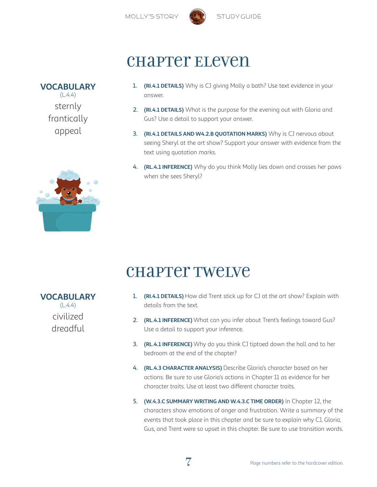

### chapter Eleven

1. **(RI.4.1 DETAILS)** Why is CJ giving Molly a bath? Use text evidence in your answer.

- 2. **(RI.4.1 DETAILS)** What is the purpose for the evening out with Gloria and Gus? Use a detail to support your answer.
- 3. **(RI.4.1 DETAILS AND W4.2.B QUOTATION MARKS)** Why is CJ nervous about seeing Sheryl at the art show? Support your answer with evidence from the text using quotation marks.
- 4. **(RL.4.1 INFERENCE)** Why do you think Molly lies down and crosses her paws when she sees Sheryl?

## chapter Twelve

- 1. **(RI.4.1 DETAILS)** How did Trent stick up for CJ at the art show? Explain with details from the text.
- 2. **(RL.4.1 INFERENCE)** What can you infer about Trent's feelings toward Gus? Use a detail to support your inference.
- 3. **(RL.4.1 INFERENCE)** Why do you think CJ tiptoed down the hall and to her bedroom at the end of the chapter?
- 4. **(RL.4.3 CHARACTER ANALYSIS)** Describe Gloria's character based on her actions. Be sure to use Gloria's actions in Chapter 11 as evidence for her character traits. Use at least two different character traits.
- 5. **(W.4.3.C SUMMARY WRITING AND W.4.3.C TIME ORDER)** In Chapter 12, the characters show emotions of anger and frustration. Write a summary of the events that took place in this chapter and be sure to explain why CJ, Gloria, Gus, and Trent were so upset in this chapter. Be sure to use transition words.

**VOCABULARY**  $(L.4.4)$ civilized dreadful



**VOCABULARY**  $(L.4.4)$ 

> sternly frantically

> > appeal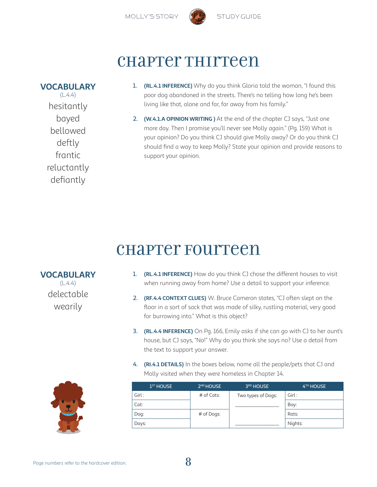



## chapter Thirteen

**VOCABULARY**

 $(L.4.4)$ hesitantly bayed bellowed deftly frantic reluctantly defiantly

- 1. **(RL.4.1 INFERENCE)** Why do you think Gloria told the woman, "I found this poor dog abandoned in the streets. There's no telling how long he's been living like that, alone and far, far away from his family."
- 2. **(W.4.1.A OPINION WRITING )** At the end of the chapter CJ says, "Just one more day. Then I promise you'll never see Molly again." (Pg. 159) What is your opinion? Do you think CJ should give Molly away? Or do you think CJ should find a way to keep Molly? State your opinion and provide reasons to support your opinion.

# chapter Fourteen

- 1. **(RL.4.1 INFERENCE)** How do you think CJ chose the different houses to visit when running away from home? Use a detail to support your inference.
- 2. **(RF.4.4 CONTEXT CLUES)** W. Bruce Cameron states, "CJ often slept on the floor in a sort of sack that was made of silky, rustling material, very good for burrowing into." What is this object?
- 3. **(RL.4.4 INFERENCE)** On Pg. 166, Emily asks if she can go with CJ to her aunt's house, but CJ says, "No!" Why do you think she says no? Use a detail from the text to support your answer.
- 4. **(RI.4.1 DETAILS)** In the boxes below, name all the people/pets that CJ and Molly visited when they were homeless in Chapter 14.

| 1 <sup>ST</sup> HOUSE | 2 <sup>ND</sup> HOUSE | 3RD HOUSE          | 4TH HOUSE |
|-----------------------|-----------------------|--------------------|-----------|
| Girl:                 | # of Cats:            | Two types of Dogs: | Girl:     |
| Cat:                  |                       |                    | Boy:      |
| Dog:                  | # of Dogs:            |                    | Rats:     |
| Days:                 |                       |                    | Nights:   |

**VOCABULARY**  $(L.4.4)$ delectable

wearily

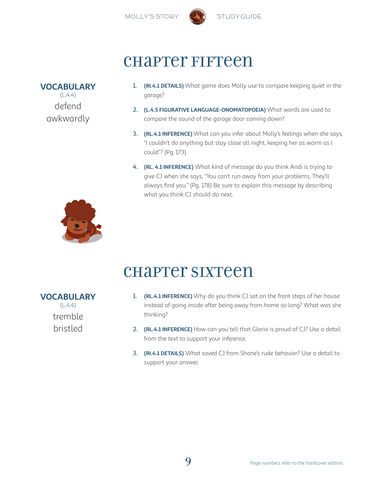



## chapter Fifteen

**VOCABULARY**  $(L.4.4)$ defend awkwardly

- 1. **(RI.4.1 DETAILS)** What game does Molly use to compare keeping quiet in the garage?
- 2. **(L.4.5 FIGURATIVE LANGUAGE-ONOMATOPOEIA)** What words are used to compare the sound of the garage door coming down?
- 3. **(RL.4.1 INFERENCE)** What can you infer about Molly's feelings when she says, "I couldn't do anything but stay close all night, keeping her as warm as I could"? (Pg. 173)
- 4. **(RL. 4.1 INFERENCE)** What kind of message do you think Andi is trying to give CJ when she says, "You can't run away from your problems. They'll always find you." (Pg. 178) Be sure to explain this message by describing what you think CJ should do next.



**VOCABULARY**  $(L.4.4)$ 

tremble

bristled

# chapter Sixteen

- 1. **(RL.4.1 INFERENCE)** Why do you think CJ sat on the front steps of her house instead of going inside after being away from home so long? What was she thinking?
- 2. **(RL.4.1 INFERENCE)** How can you tell that Gloria is proud of CJ? Use a detail from the text to support your inference.
- 3. **(RI.4.1 DETAILS)** What saved CJ from Shane's rude behavior? Use a detail to support your answer.